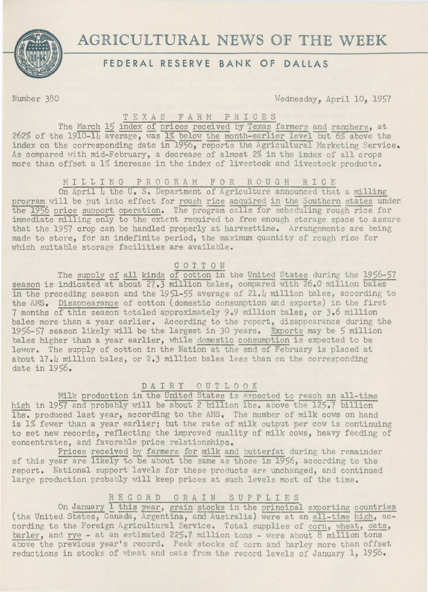

# **AGRICULTURAL NEWS OF THE WEEK**

## **FEDERAL RESERVE BANK OF DALLAS**

Number 380 Wednesday, April 10, 1957

### T E X A S F A R M P R I C E S

The March 15 index of prices received by Texas farmers and ranchers, at 262% of the 1910-14 average, was 1% below the month-earlier level but 6% above the index on the corresponding date in 1956, reports the Agricultural Marketing Service. As compared with mid-February, a decrease of almost 2% in the index of all crops more than offset a 1% increase in the index of livestock and livestock products.

### MILLING PROGRAM FOR ROUGH RICE

On April L the u. s. Department of Agriculture announced that a milling program will be put into effect for rough rice acquired in the Southern states under the 1956 price support operation. The program calls for scheduling rough rice for immediate milling only to the extent required to free enough storage space to assure that the 1957 crop can be handled properly at harvesttime. Arrangements are being made to store, for an indefinite period, the maximum quantity of rough rice for which suitable storage facilities are available.

### COTTON

The supply of all kinds of cotton in the United States during the 1956-57 season is indicated at about 27.3 million bales, compared with 26.0 million bales in the preceding season and the 1951-55 average of 21.4 million bales, according to the AMS. Disappearance of cotton (domestic consumption and exports) in the first 7 months of this season totaled approximately 9.9 million bales, or J.6 million bales more than a year earlier. According to the report, disappearance during the 1956-57 season likely will be the largest in 30 years. Exports may be 5 million bales higher than a year earlier, while domestic consumption is expected to be lower. The supply of cotton in the Nation at the end of February is placed at about 17. 4 million bales, or 2.3 million bales less than on the corresponding date in 1956.

# D A I R Y 0 U T L 0 0 K

Milk production in the United States is expected to reach an all-time high in 1957 and probably will be about 2 billion lbs. above the 125.7 billion lbs. produced last year, according to the AMS. The number of milk cows on hand is 1% fewer than a year earlier; but the rate of milk output per cow is continuing to set new records, reflecting the improved quality of milk cows, heavy feeding of concentrates, and favorable price relationships.

Prices received by farmers for milk and butterfat during the remainder of this year are likely to be about the same as those in 1956, according to the report. National support levels for these products are unchanged, and continued large production probably will keep prices at such levels most of the time.

## R E C 0 R D G R A I N S U P P L I E S

On January 1 this year, grain stocks in the principal exporting countries (the United States, Canada, Argentina, and Australia) were at an all-time high, according to the Foreign Agricultural Service. Total supplies of corn, wheat, oats, barley, and rye - at an estimated 225.7 million tons - were about  $8$  million tons above the previous year's record. Peak stocks of corn and barley more than offset reductions in stocks of wheat and oats from the record levels of January 1, 1956.